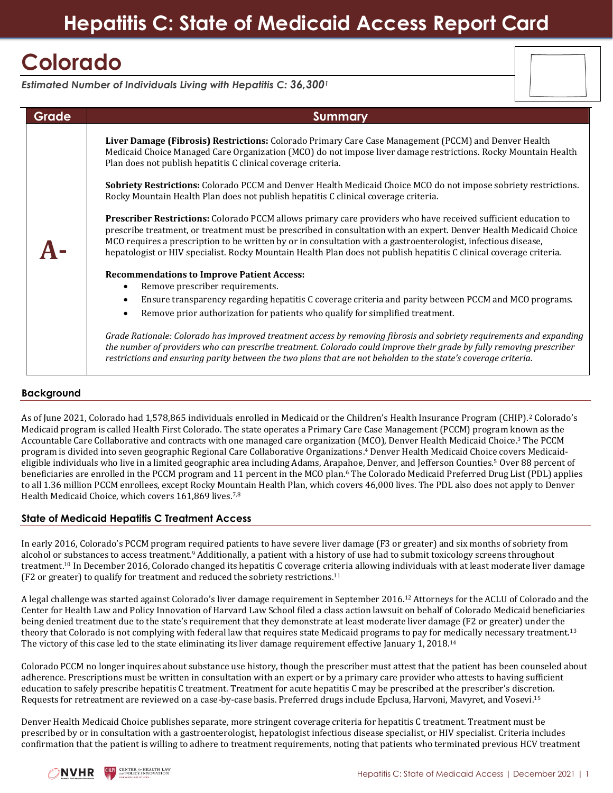# **Colorado**

*Estimated Number of Individuals Living with Hepatitis C: 36,300<sup>1</sup>*

| Grade | <b>Summary</b>                                                                                                                                                                                                                                                                                                                                                                                                                                                                |
|-------|-------------------------------------------------------------------------------------------------------------------------------------------------------------------------------------------------------------------------------------------------------------------------------------------------------------------------------------------------------------------------------------------------------------------------------------------------------------------------------|
|       | Liver Damage (Fibrosis) Restrictions: Colorado Primary Care Case Management (PCCM) and Denver Health<br>Medicaid Choice Managed Care Organization (MCO) do not impose liver damage restrictions. Rocky Mountain Health<br>Plan does not publish hepatitis C clinical coverage criteria.                                                                                                                                                                                       |
|       | Sobriety Restrictions: Colorado PCCM and Denver Health Medicaid Choice MCO do not impose sobriety restrictions.<br>Rocky Mountain Health Plan does not publish hepatitis C clinical coverage criteria.                                                                                                                                                                                                                                                                        |
|       | Prescriber Restrictions: Colorado PCCM allows primary care providers who have received sufficient education to<br>prescribe treatment, or treatment must be prescribed in consultation with an expert. Denver Health Medicaid Choice<br>MCO requires a prescription to be written by or in consultation with a gastroenterologist, infectious disease,<br>hepatologist or HIV specialist. Rocky Mountain Health Plan does not publish hepatitis C clinical coverage criteria. |
|       | <b>Recommendations to Improve Patient Access:</b>                                                                                                                                                                                                                                                                                                                                                                                                                             |
|       | Remove prescriber requirements.                                                                                                                                                                                                                                                                                                                                                                                                                                               |
|       | Ensure transparency regarding hepatitis C coverage criteria and parity between PCCM and MCO programs.<br>$\bullet$                                                                                                                                                                                                                                                                                                                                                            |
|       | Remove prior authorization for patients who qualify for simplified treatment.<br>$\bullet$                                                                                                                                                                                                                                                                                                                                                                                    |
|       | Grade Rationale: Colorado has improved treatment access by removing fibrosis and sobriety requirements and expanding<br>the number of providers who can prescribe treatment. Colorado could improve their grade by fully removing prescriber<br>restrictions and ensuring parity between the two plans that are not beholden to the state's coverage criteria.                                                                                                                |

## **Background**

As of June 2021, Colorado had 1,578,865 individuals enrolled in Medicaid or the Children's Health Insurance Program (CHIP).<sup>2</sup> Colorado's Medicaid program is called Health First Colorado. The state operates a Primary Care Case Management (PCCM) program known as the Accountable Care Collaborative and contracts with one managed care organization (MCO), Denver Health Medicaid Choice. <sup>3</sup> The PCCM program is divided into seven geographic Regional Care Collaborative Organizations. <sup>4</sup> Denver Health Medicaid Choice covers Medicaideligible individuals who live in a limited geographic area including Adams, Arapahoe, Denver, and Jefferson Counties.<sup>5</sup> Over 88 percent of beneficiaries are enrolled in the PCCM program and 11 percent in the MCO plan.<sup>6</sup> The Colorado Medicaid Preferred Drug List (PDL) applies to all 1.36 million PCCM enrollees, except Rocky Mountain Health Plan, which covers 46,000 lives. The PDL also does not apply to Denver Health Medicaid Choice, which covers 161,869 lives.7,8

## **State of Medicaid Hepatitis C Treatment Access**

In early 2016, Colorado's PCCM program required patients to have severe liver damage (F3 or greater) and six months of sobriety from alcohol or substances to access treatment.<sup>9</sup> Additionally, a patient with a history of use had to submit toxicology screens throughout treatment.<sup>10</sup> In December 2016, Colorado changed its hepatitis C coverage criteria allowing individuals with at least moderate liver damage (F2 or greater) to qualify for treatment and reduced the sobriety restrictions.<sup>11</sup>

A legal challenge was started against Colorado's liver damage requirement in September 2016.<sup>12</sup> Attorneys for the ACLU of Colorado and the Center for Health Law and Policy Innovation of Harvard Law School filed a class action lawsuit on behalf of Colorado Medicaid beneficiaries being denied treatment due to the state's requirement that they demonstrate at least moderate liver damage (F2 or greater) under the theory that Colorado is not complying with federal law that requires state Medicaid programs to pay for medically necessary treatment.<sup>13</sup> The victory of this case led to the state eliminating its liver damage requirement effective January 1, 2018.<sup>14</sup>

Colorado PCCM no longer inquires about substance use history, though the prescriber must attest that the patient has been counseled about adherence. Prescriptions must be written in consultation with an expert or by a primary care provider who attests to having sufficient education to safely prescribe hepatitis C treatment. Treatment for acute hepatitis C may be prescribed at the prescriber's discretion. Requests for retreatment are reviewed on a case-by-case basis. Preferred drugs include Epclusa, Harvoni, Mavyret, and Vosevi.<sup>15</sup>

Denver Health Medicaid Choice publishes separate, more stringent coverage criteria for hepatitis C treatment. Treatment must be prescribed by or in consultation with a gastroenterologist, hepatologist infectious disease specialist, or HIV specialist. Criteria includes confirmation that the patient is willing to adhere to treatment requirements, noting that patients who terminated previous HCV treatment

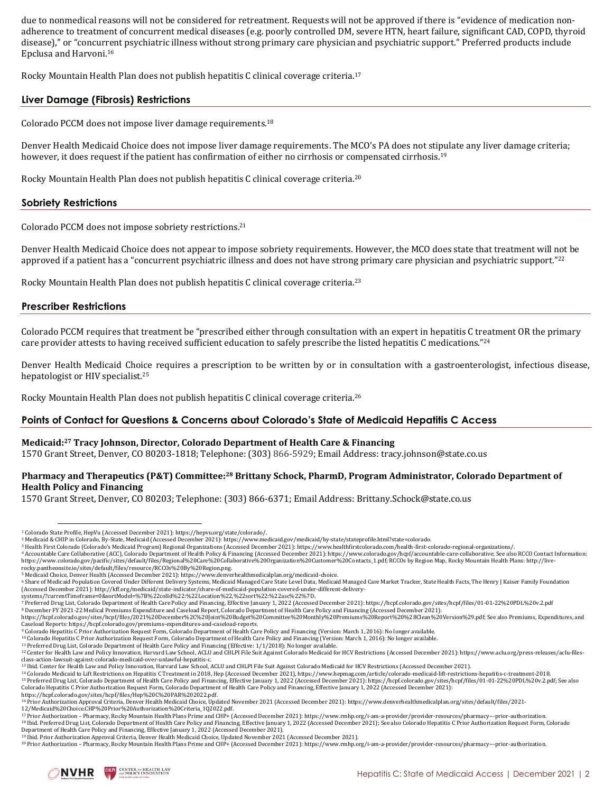due to nonmedical reasons will not be considered for retreatment. Requests will not be approved if there is "evidence of medication nonadherence to treatment of concurrent medical diseases (e.g. poorly controlled DM, severe HTN, heart failure, significant CAD, COPD, thyroid disease)," or "concurrent psychiatric illness without strong primary care physician and psychiatric support." Preferred products include Epclusa and Harvoni.<sup>16</sup>

Rocky Mountain Health Plan does not publish hepatitis C clinical coverage criteria.<sup>17</sup>

#### **Liver Damage (Fibrosis) Restrictions**

Colorado PCCM does not impose liver damage requirements. 18

Denver Health Medicaid Choice does not impose liver damage requirements. The MCO's PA does not stipulate any liver damage criteria; however, it does request if the patient has confirmation of either no cirrhosis or compensated cirrhosis.<sup>19</sup>

Rocky Mountain Health Plan does not publish hepatitis C clinical coverage criteria.<sup>20</sup>

#### **Sobriety Restrictions**

Colorado PCCM does not impose sobriety restrictions. 21

Denver Health Medicaid Choice does not appear to impose sobriety requirements. However, the MCO does state that treatment will not be approved if a patient has a "concurrent psychiatric illness and does not have strong primary care physician and psychiatric support."<sup>22</sup>

Rocky Mountain Health Plan does not publish hepatitis C clinical coverage criteria.<sup>23</sup>

#### **Prescriber Restrictions**

Colorado PCCM requires that treatment be "prescribed either through consultation with an expert in hepatitis C treatment OR the primary care provider attests to having received sufficient education to safely prescribe the listed hepatitis C medications."<sup>24</sup>

Denver Health Medicaid Choice requires a prescription to be written by or in consultation with a gastroenterologist, infectious disease, hepatologist or HIV specialist.<sup>25</sup>

Rocky Mountain Health Plan does not publish hepatitis C clinical coverage criteria.<sup>26</sup>

#### **Points of Contact for Questions & Concerns about Colorado's State of Medicaid Hepatitis C Access**

#### **Medicaid: <sup>27</sup> Tracy Johnson, Director, Colorado Department of Health Care & Financing**

1570 Grant Street, Denver, CO 80203-1818; Telephone: (303) 866-5929; Email Address: tracy.johnson@state.co.us

### **Pharmacy and Therapeutics (P&T) Committee: <sup>28</sup> Brittany Schock, PharmD, Program Administrator, Colorado Department of Health Policy and Financing**

1570 Grant Street, Denver, CO 80203; Telephone: (303) 866-6371; Email Address[: Brittany.Schock@state.co.us](mailto:brittany.schock@state.co.us)

[rocky.pantheonsite.io/sites/default/files/resource/RCCOs%20By%20Region.png.](http://live-rocky.pantheonsite.io/sites/default/files/resource/RCCOs%20By%20Region.png)  <sup>5</sup> Medicaid Choice, Denver Health (Accessed December 2021)[: https://www.denverhealthmedicalplan.org/medicaid-choice.](https://www.denverhealthmedicalplan.org/medicaid-choice) 

<sup>10</sup> Colorado Hepatitis C Prior Authorization Request Form, Colorado Department of Health Care Policy and Financing (Version: March 1, 2016): No longer available. <sup>11</sup> Preferred Drug List, Colorado Department of Health Care Policy and Financing (Effective: 1/1/2018): No longer available.

<sup>1</sup> Colorado State Profile, HepVu (Accessed December 2021)[: https://hepvu.org/state/colorado/.](https://hepvu.org/state/colorado/)

<sup>2</sup> Medicaid & CHIP in Colorado, By-State, Medicaid (Accessed December 2021)[: https://www.medicaid.gov/medicaid/by-state/stateprofile.html?state=colorado.](https://www.medicaid.gov/medicaid/by-state/stateprofile.html?state=colorado)

<sup>3</sup> Health First Colorado (Colorado's Medicaid Program) Regional Organizations (Accessed December 2021): https://www.healthfirstcolorado.com/health-first-colorado-regional-organizations/. <sup>4</sup> Accountable Care Collaborative (ACC), Colorado Department of Health Policy & Financing (Accessed December 2021)[: https://www.colorado.gov/hcpf/accountable-care-collaborative;](https://www.colorado.gov/hcpf/accountable-care-collaborative) See also RCCO Contact Information:

[https://www.colorado.gov/pacific/sites/default/files/Regional%20Care%20Collaborative%20Organization%20Customer%20Contacts\\_1.pdf;](https://www.colorado.gov/pacific/sites/default/files/Regional%20Care%20Collaborative%20Organization%20Customer%20Contacts_1.pdf) RCCOs by Region Map, Rocky Mountain Health Plans[: http://live-](http://live-rocky.pantheonsite.io/sites/default/files/resource/RCCOs%20By%20Region.png)

<sup>&</sup>lt;sup>6</sup> Share of Medicaid Population Covered Under Different Delivery Systems, Medicaid Managed Care State Level Data, Medicaid Managed Care Market Tracker, State Health Facts, The Henry J Kaiser Family Foundation

<sup>(</sup>Accessed December 2021)[: http://kff.org/medicaid/state-indicator/share-of-medicaid-population-covered-under-different-delivery](http://kff.org/medicaid/state-indicator/share-of-medicaid-population-covered-under-different-delivery-systems/?currentTimeframe=0&sortModel=%7B%22colId%22:%22Location%22,%22sort%22:%22asc%22%7D)[systems/?currentTimeframe=0&sortModel=%7B%22colId%22:%22Location%22,%22sort%22:%22asc%22%7D.](http://kff.org/medicaid/state-indicator/share-of-medicaid-population-covered-under-different-delivery-systems/?currentTimeframe=0&sortModel=%7B%22colId%22:%22Location%22,%22sort%22:%22asc%22%7D) 

<sup>7</sup> Preferred Drug List, Colorado Department of Health Care Policy and Financing, Effective January 1, 2022 (Accessed December 2021): <https://hcpf.colorado.gov/sites/hcpf/files/01-01-22%20PDL%20v.2.pdf>

<sup>8</sup> December FY 2021-22 Medical Premiums Expenditure and Caseload Report, Colorado Department of Health Care Policy and Financing (Accessed December 2021):

[https://hcpf.colorado.gov/sites/hcpf/files/2021%20December%2C%20Joint%20Budget%20Committee%20Monthly%20Premiums%20Report%20%28Clean%20Version%29.pdf;](https://hcpf.colorado.gov/sites/hcpf/files/2021%20December%2C%20Joint%20Budget%20Committee%20Monthly%20Premiums%20Report%20%28Clean%20Version%29.pdf) See also Premiums, Expenditures, and Caseload Reports[: https://hcpf.colorado.gov/premiums-expenditures-and-caseload-reports.](https://hcpf.colorado.gov/premiums-expenditures-and-caseload-reports) 

<sup>9</sup> Colorado Hepatitis C Prior Authorization Request Form, Colorado Department of Health Care Policy and Financing (Version: March 1, 2016): No longer available.

<sup>&</sup>lt;sup>12</sup> Center for Health Law and Policy Innovation, Harvard Law School, ACLU and CHLPI File Suit Against Colorado Medicaid for HCV Restrictions (Accessed December 2021): https://www.aclu.org/press-releases/aclu-files-

class-action-lawsuit-against-colorado-medicaid-over-unlawful-hepatitis-c.<br><sup>13</sup> Ibid. Center for Health Law and Policy Innovation, Harvard Law School, ACLU and CHLPI File Suit Against Colorado Medicaid for HCV Restrictions

<sup>14</sup> Colorado Medicaid to Lift Restrictions on Hepatitis C Treatment in 2018, Hep (Accessed December 2021[\), https://www.hepmag.com/article/colorado-medicaid-lift-restrictions-hepatitis-c-treatment-2018.](https://www.hepmag.com/article/colorado-medicaid-lift-restrictions-hepatitis-c-treatment-2018) <sup>15</sup> Preferred Drug List, Colorado Department of Health Care Policy and Financing, Effective January 1, 2022 (Accessed December 2021): [https://hcpf.colorado.gov/sites/hcpf/files/01-01-22%20PDL%20v.2.pdf;](https://hcpf.colorado.gov/sites/hcpf/files/01-01-22%20PDL%20v.2.pdf) See also Colorado Hepatitis C Prior Authorization Request Form, Colorado Department of Health Care Policy and Financing, Effective January 1, 2022 (Accessed December 2021):

https://hcpf.colorado.gov/sites/hcpf/files/Hep%20C%20PAR%202022.pdf.<br><sup>16</sup> Prior Authorization Approval Criteria, Denver Health Medicaid Choice, Updated November 2021 (Accessed December 2021): https://www.denverhealthmedica

[<sup>12/</sup>Medicaid%20Choice.CHP%20Prior%20Authorization%20Criteria\\_1Q2022.pdf.](https://www.denverhealthmedicalplan.org/sites/default/files/2021-12/Medicaid%20Choice.CHP%20Prior%20Authorization%20Criteria_1Q2022.pdf)  17 Prior Authorization – Pharmacy, Rocky Mountain Health Plans Prime and CHP+ (Accessed December 2021): https://www.rmhp.org/i-am-a-provider/provider-resources/pharmacy---prior-authorization

<sup>18</sup> Ibid. Preferred Drug List, Colorado Department of Health Care Policy and Financing, Effective January 1, 2022 (Accessed December 2021); See also Colorado Hepatitis C Prior Authorization Request Form, Colorado Network Ca Department of Health Care Policy and Financing, Effective January 1, 2022 (Accessed December 2021).

<sup>19</sup> Ibid. Prior Authorization Approval Criteria, Denver Health Medicaid Choice, Updated November 2021 (Accessed December 2021).

<sup>20</sup> Prior Authorization – Pharmacy, Rocky Mountain Health Plans Prime and CHP+ (Accessed December 2021): https://www.rmhp.org/i-am-a-provider/provider-resources/pharmacy---prior-authorization.